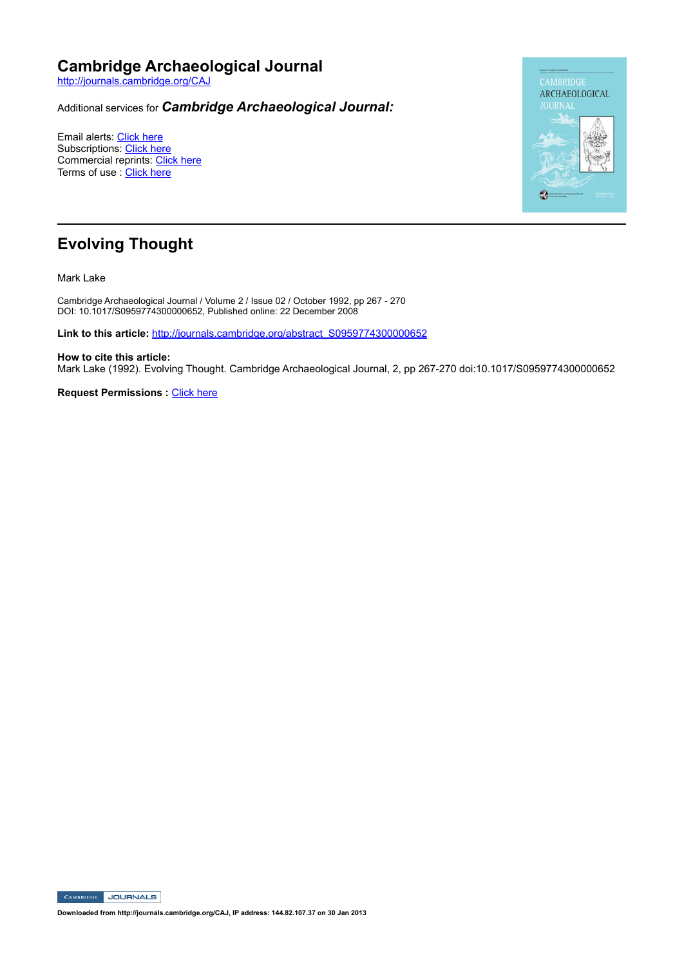**Cambridge Archaeological Journal**

http://journals.cambridge.org/CAJ

Additional services for *Cambridge Archaeological Journal:*

Email alerts: Click here Subscriptions: Click here Commercial reprints: Click here Terms of use : Click here



## **Evolving Thought**

Mark Lake

Cambridge Archaeological Journal / Volume 2 / Issue 02 / October 1992, pp 267 270 DOI: 10.1017/S0959774300000652, Published online: 22 December 2008

Link to this article: http://journals.cambridge.org/abstract\_S0959774300000652

#### **How to cite this article:**

Mark Lake (1992). Evolving Thought. Cambridge Archaeological Journal, 2, pp 267270 doi:10.1017/S0959774300000652

**Request Permissions :** Click here

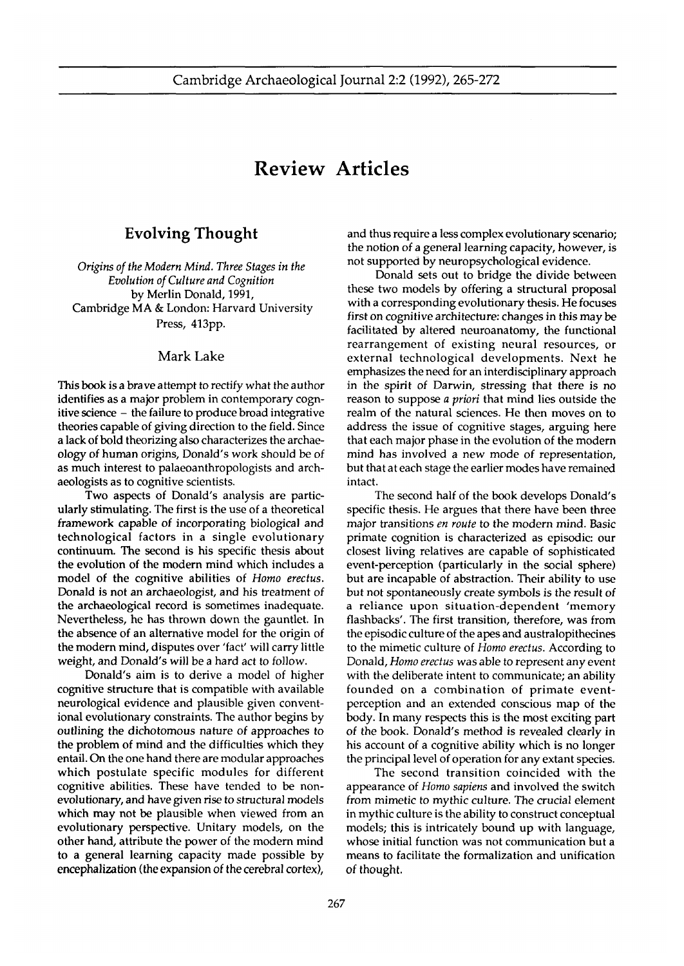# Review Articles

### Evolving Thought

*Origins of the Modern Mind. Three Stages in the Evolution of Culture and Cognition* by Merlin Donald, 1991, Cambridge MA & London: Harvard University Press, 413pp.

### Mark Lake

This book is a brave attempt to rectify what the author identifies as a major problem in contemporary cognitive science - the failure to produce broad integrative theories capable of giving direction to the field. Since a lack of bold theorizing also characterizes the archaeology of human origins, Donald's work should be of as much interest to palaeoanthropologists and archaeologists as to cognitive scientists.

Two aspects of Donald's analysis are particularly stimulating. The first is the use of a theoretical framework capable of incorporating biological and technological factors in a single evolutionary continuum. The second is his specific thesis about the evolution of the modern mind which includes a model of the cognitive abilities of *Homo erectus.* Donald is not an archaeologist, and his treatment of the archaeological record is sometimes inadequate. Nevertheless, he has thrown down the gauntlet. In the absence of an alternative model for the origin of the modern mind, disputes over 'fact' will carry little weight, and Donald's will be a hard act to follow.

Donald's aim is to derive a model of higher cognitive structure that is compatible with available neurological evidence and plausible given conventional evolutionary constraints. The author begins by outlining the dichotomous nature of approaches to the problem of mind and the difficulties which they entail. On the one hand there are modular approaches which postulate specific modules for different cognitive abilities. These have tended to be nonevolutionary, and have given rise to structural models which may not be plausible when viewed from an evolutionary perspective. Unitary models, on the other hand, attribute the power of the modern mind to a general learning capacity made possible by encephalization (the expansion of the cerebral cortex),

and thus require a less complex evolutionary scenario; the notion of a general learning capacity, however, is not supported by neuropsychological evidence.

Donald sets out to bridge the divide between these two models by offering a structural proposal with a corresponding evolutionary thesis. He focuses first on cognitive architecture: changes in this may be facilitated by altered neuroanatomy, the functional rearrangement of existing neural resources, or external technological developments. Next he emphasizes the need for an interdisciplinary approach in the spirit of Darwin, stressing that there is no reason to suppose *a priori* that mind lies outside the realm of the natural sciences. He then moves on to address the issue of cognitive stages, arguing here that each major phase in the evolution of the modern mind has involved a new mode of representation, but that at each stage the earlier modes have remained intact.

The second half of the book develops Donald's specific thesis. He argues that there have been three major transitions *en route* to the modern mind. Basic primate cognition is characterized as episodic: our closest living relatives are capable of sophisticated event-perception (particularly in the social sphere) but are incapable of abstraction. Their ability to use but not spontaneously create symbols is the result of a reliance upon situation-dependent 'memory flashbacks'. The first transition, therefore, was from the episodic culture of the apes and australopithecines to the mimetic culture of *Homo erectus.* According to Donald, *Homo erectus* was able to represent any event with the deliberate intent to communicate; an ability founded on a combination of primate eventperception and an extended conscious map of the body. In many respects this is the most exciting part of the book. Donald's method is revealed clearly in his account of a cognitive ability which is no longer the principal level of operation for any extant species.

The second transition coincided with the appearance of *Homo sapiens* and involved the switch from mimetic to mythic culture. The crucial element in mythic culture is the ability to construct conceptual models; this is intricately bound up with language, whose initial function was not communication but a means to facilitate the formalization and unification of thought.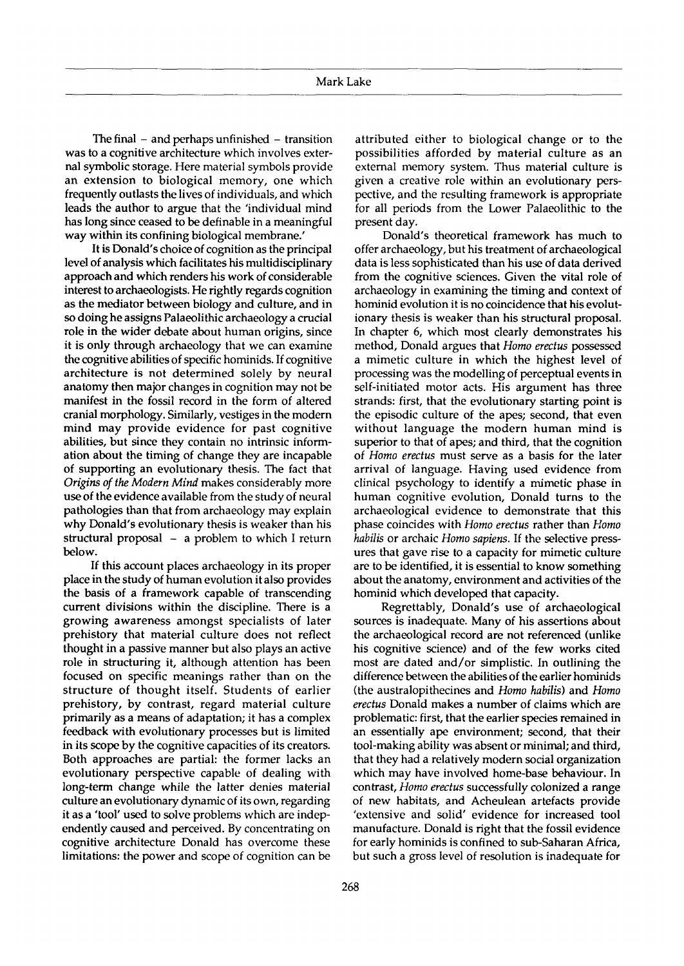Mark Lake

The final  $-$  and perhaps unfinished  $-$  transition was to a cognitive architecture which involves external symbolic storage. Here material symbols provide an extension to biological memory, one which frequently outlasts the lives of individuals, and which leads the author to argue that the 'individual mind has long since ceased to be definable in a meaningful way within its confining biological membrane.'

It is Donald's choice of cognition as the principal level of analysis which facilitates his multidisciplinary approach and which renders his work of considerable interest to archaeologists. He rightly regards cognition as the mediator between biology and culture, and in so doing he assigns Palaeolithic archaeology a crucial role in the wider debate about human origins, since it is only through archaeology that we can examine the cognitive abilities of specific hominids. If cognitive architecture is not determined solely by neural anatomy then major changes in cognition may not be manifest in the fossil record in the form of altered cranial morphology. Similarly, vestiges in the modern mind may provide evidence for past cognitive abilities, but since they contain no intrinsic information about the timing of change they are incapable of supporting an evolutionary thesis. The fact that *Origins of the Modern Mind* makes considerably more use of the evidence available from the study of neural pathologies than that from archaeology may explain why Donald's evolutionary thesis is weaker than his structural proposal  $-$  a problem to which I return below.

If this account places archaeology in its proper place in the study of human evolution it also provides the basis of a framework capable of transcending current divisions within the discipline. There is a growing awareness amongst specialists of later prehistory that material culture does not reflect thought in a passive manner but also plays an active role in structuring it, although attention has been focused on specific meanings rather than on the structure of thought itself. Students of earlier prehistory, by contrast, regard material culture primarily as a means of adaptation; it has a complex feedback with evolutionary processes but is limited in its scope by the cognitive capacities of its creators. Both approaches are partial: the former lacks an evolutionary perspective capable of dealing with long-term change while the latter denies material culture an evolutionary dynamic of its own, regarding it as a 'tool' used to solve problems which are independently caused and perceived. By concentrating on cognitive architecture Donald has overcome these limitations: the power and scope of cognition can be

attributed either to biological change or to the possibilities afforded by material culture as an external memory system. Thus material culture is given a creative role within an evolutionary perspective, and the resulting framework is appropriate for all periods from the Lower Palaeolithic to the present day.

Donald's theoretical framework has much to offer archaeology, but his treatment of archaeological data is less sophisticated than his use of data derived from the cognitive sciences. Given the vital role of archaeology in examining the timing and context of hominid evolution it is no coincidence that his evolutionary thesis is weaker than his structural proposal. In chapter 6, which most clearly demonstrates his method, Donald argues that *Homo erectus* possessed a mimetic culture in which the highest level of processing was the modelling of perceptual events in self-initiated motor acts. His argument has three strands: first, that the evolutionary starting point is the episodic culture of the apes; second, that even without language the modern human mind is superior to that of apes; and third, that the cognition of *Homo erectus* must serve as a basis for the later arrival of language. Having used evidence from clinical psychology to identify a mimetic phase in human cognitive evolution, Donald turns to the archaeological evidence to demonstrate that this phase coincides with *Homo erectus* rather than *Homo habilis* or archaic *Homo sapiens.* If the selective pressures that gave rise to a capacity for mimetic culture are to be identified, it is essential to know something about the anatomy, environment and activities of the hominid which developed that capacity.

Regrettably, Donald's use of archaeological sources is inadequate. Many of his assertions about the archaeological record are not referenced (unlike his cognitive science) and of the few works cited most are dated and/or simplistic. In outlining the difference between the abilities of the earlier hominids (the australopithecines and *Homo habilis)* and *Homo erectus* Donald makes a number of claims which are problematic: first, that the earlier species remained in an essentially ape environment; second, that their tool-making ability was absent or minimal; and third, that they had a relatively modern social organization which may have involved home-base behaviour. In contrast, *Homo erectus* successfully colonized a range of new habitats, and Acheulean artefacts provide 'extensive and solid' evidence for increased tool manufacture. Donald is right that the fossil evidence for early hominids is confined to sub-Saharan Africa, but such a gross level of resolution is inadequate for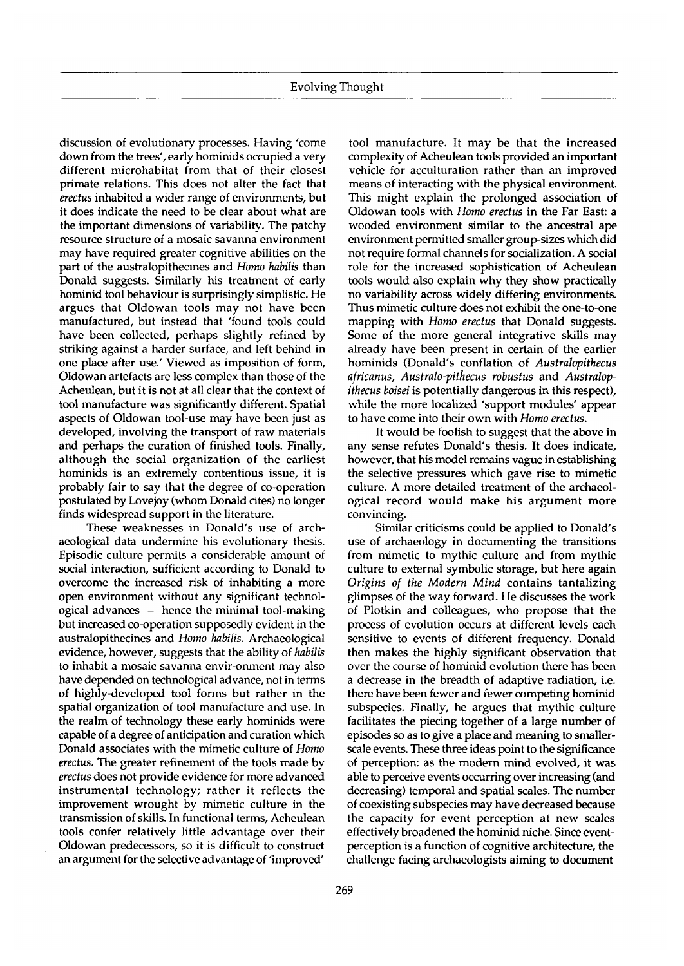discussion of evolutionary processes. Having 'come down from the trees', early hominids occupied a very different microhabitat from that of their closest primate relations. This does not alter the fact that *erectus* inhabited a wider range of environments, but it does indicate the need to be clear about what are the important dimensions of variability. The patchy resource structure of a mosaic savanna environment may have required greater cognitive abilities on the part of the australopithecines and *Homo habilis* than Donald suggests. Similarly his treatment of early hominid tool behaviour is surprisingly simplistic. He argues that Oldowan tools may not have been manufactured, but instead that 'found tools could have been collected, perhaps slightly refined by striking against a harder surface, and left behind in one place after use.' Viewed as imposition of form, Oldowan artefacts are less complex than those of the Acheulean, but it is not at all clear that the context of tool manufacture was significantly different. Spatial aspects of Oldowan tool-use may have been just as developed, involving the transport of raw materials and perhaps the curation of finished tools. Finally, although the social organization of the earliest hominids is an extremely contentious issue, it is probably fair to say that the degree of co-operation postulated by Lovejoy (whom Donald cites) no longer finds widespread support in the literature.

These weaknesses in Donald's use of archaeological data undermine his evolutionary thesis. Episodic culture permits a considerable amount of social interaction, sufficient according to Donald to overcome the increased risk of inhabiting a more open environment without any significant technological advances  $-$  hence the minimal tool-making but increased co-operation supposedly evident in the australopithecines and *Homo habilis.* Archaeological evidence, however, suggests that the ability of *habilis* to inhabit a mosaic savanna envir-onment may also have depended on technological advance, not in terms of highly-developed tool forms but rather in the spatial organization of tool manufacture and use. In the realm of technology these early hominids were capable of a degree of anticipation and curation which Donald associates with the mimetic culture of *Homo erectus.* The greater refinement of the tools made by *erectus* does not provide evidence for more advanced instrumental technology; rather it reflects the improvement wrought by mimetic culture in the transmission of skills. In functional terms, Acheulean tools confer relatively little advantage over their Oldowan predecessors, so it is difficult to construct an argument for the selective advantage of 'improved'

tool manufacture. It may be that the increased complexity of Acheulean tools provided an important vehicle for acculturation rather than an improved means of interacting with the physical environment. This might explain the prolonged association of Oldowan tools with *Homo erectus* in the Far East: a wooded environment similar to the ancestral ape environment permitted smaller group-sizes which did not require formal channels for socialization. A social role for the increased sophistication of Acheulean tools would also explain why they show practically no variability across widely differing environments. Thus mimetic culture does not exhibit the one-to-one mapping with *Homo erectus* that Donald suggests. Some of the more general integrative skills may already have been present in certain of the earlier hominids (Donald's conflation of *Australopithecus africanus, Australo-pithecus robustus* and *Australopithecus boisei* is potentially dangerous in this respect), while the more localized 'support modules' appear to have come into their own with *Homo erectus.*

It would be foolish to suggest that the above in any sense refutes Donald's thesis. It does indicate, however, that his model remains vague in establishing the selective pressures which gave rise to mimetic culture. A more detailed treatment of the archaeological record would make his argument more convincing.

Similar criticisms could be applied to Donald's use of archaeology in documenting the transitions from mimetic to mythic culture and from mythic culture to external symbolic storage, but here again *Origins of the Modern Mind* contains tantalizing glimpses of the way forward. He discusses the work of Plotkin and colleagues, who propose that the process of evolution occurs at different levels each sensitive to events of different frequency. Donald then makes the highly significant observation that over the course of hominid evolution there has been a decrease in the breadth of adaptive radiation, i.e. there have been fewer and fewer competing hominid subspecies. Finally, he argues that mythic culture facilitates the piecing together of a large number of episodes so as to give a place and meaning to smallerscale events. These three ideas point to the significance of perception: as the modern mind evolved, it was able to perceive events occurring over increasing (and decreasing) temporal and spatial scales. The number of coexisting subspecies may have decreased because the capacity for event perception at new scales effectively broadened the hominid niche. Since eventperception is a function of cognitive architecture, the challenge facing archaeologists aiming to document